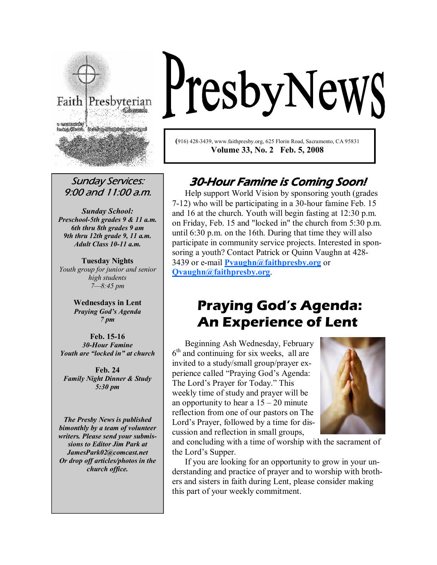

Sunday Services: 9:00 and 11:00 a.m.

Sunday School: Preschool-5th grades 9 & 11 a.m. 6th thru 8th grades 9 am 9th thru 12th grade 9, 11 a.m. Adult Class 10-11 a.m.

**Tuesday Nights** Youth group for junior and senior high students 7—8:45 pm

> Wednesdays in Lent Praying God's Agenda 7 pm

Feb. 15-16 30-Hour Famine Youth are "locked in" at church

Feb. 24 **Family Night Dinner & Study** 5:30 pm

The Presby News is published bimonthly by a team of volunteer writers. Please send your submissions to Editor Jim Park at JamesPark02@comcast.net Or drop off articles/photos in the church office.

# PresbyNewS

(916) 428-3439, www.faithpresby.org, 625 Florin Road, Sacramento, CA 95831 Volume 33, No. 2 Feb. 5, 2008

## 30-Hour Famine is Coming Soon!

Help support World Vision by sponsoring youth (grades 7-12) who will be participating in a 30-hour famine Feb. 15 and 16 at the church. Youth will begin fasting at 12:30 p.m. on Friday, Feb. 15 and "locked in" the church from 5:30 p.m. until 6:30 p.m. on the 16th. During that time they will also participate in community service projects. Interested in sponsoring a youth? Contact Patrick or Quinn Vaughn at 428- 3439 or e-mail **Pyaughn** $\omega$ faithpresby.org or Qvaughn@faithpresby.org.

# Praying God's Agenda: An Experience of Lent

Beginning Ash Wednesday, February 6<sup>th</sup> and continuing for six weeks, all are invited to a study/small group/prayer experience called "Praying God's Agenda: The Lord's Prayer for Today." This weekly time of study and prayer will be an opportunity to hear a  $15 - 20$  minute reflection from one of our pastors on The Lord's Prayer, followed by a time for discussion and reflection in small groups,



and concluding with a time of worship with the sacrament of the Lord's Supper.

 If you are looking for an opportunity to grow in your understanding and practice of prayer and to worship with brothers and sisters in faith during Lent, please consider making this part of your weekly commitment.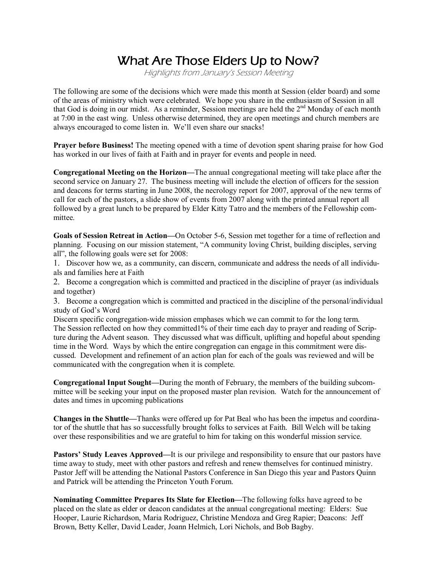## What Are Those Elders Up to Now?

Highlights from January's Session Meeting

The following are some of the decisions which were made this month at Session (elder board) and some of the areas of ministry which were celebrated. We hope you share in the enthusiasm of Session in all that God is doing in our midst. As a reminder, Session meetings are held the  $2<sup>nd</sup>$  Monday of each month at 7:00 in the east wing. Unless otherwise determined, they are open meetings and church members are always encouraged to come listen in. We'll even share our snacks!

Prayer before Business! The meeting opened with a time of devotion spent sharing praise for how God has worked in our lives of faith at Faith and in prayer for events and people in need.

Congregational Meeting on the Horizon—The annual congregational meeting will take place after the second service on January 27. The business meeting will include the election of officers for the session and deacons for terms starting in June 2008, the necrology report for 2007, approval of the new terms of call for each of the pastors, a slide show of events from 2007 along with the printed annual report all followed by a great lunch to be prepared by Elder Kitty Tatro and the members of the Fellowship committee.

Goals of Session Retreat in Action—On October 5-6, Session met together for a time of reflection and planning. Focusing on our mission statement, "A community loving Christ, building disciples, serving all", the following goals were set for 2008:

1. Discover how we, as a community, can discern, communicate and address the needs of all individuals and families here at Faith

2. Become a congregation which is committed and practiced in the discipline of prayer (as individuals and together)

3. Become a congregation which is committed and practiced in the discipline of the personal/individual study of God's Word

Discern specific congregation-wide mission emphases which we can commit to for the long term. The Session reflected on how they committed1% of their time each day to prayer and reading of Scripture during the Advent season. They discussed what was difficult, uplifting and hopeful about spending time in the Word. Ways by which the entire congregation can engage in this commitment were discussed. Development and refinement of an action plan for each of the goals was reviewed and will be communicated with the congregation when it is complete.

Congregational Input Sought—During the month of February, the members of the building subcommittee will be seeking your input on the proposed master plan revision. Watch for the announcement of dates and times in upcoming publications

Changes in the Shuttle—Thanks were offered up for Pat Beal who has been the impetus and coordinator of the shuttle that has so successfully brought folks to services at Faith. Bill Welch will be taking over these responsibilities and we are grateful to him for taking on this wonderful mission service.

Pastors' Study Leaves Approved—It is our privilege and responsibility to ensure that our pastors have time away to study, meet with other pastors and refresh and renew themselves for continued ministry. Pastor Jeff will be attending the National Pastors Conference in San Diego this year and Pastors Quinn and Patrick will be attending the Princeton Youth Forum.

Nominating Committee Prepares Its Slate for Election—The following folks have agreed to be placed on the slate as elder or deacon candidates at the annual congregational meeting: Elders: Sue Hooper, Laurie Richardson, Maria Rodriguez, Christine Mendoza and Greg Rapier; Deacons: Jeff Brown, Betty Keller, David Leader, Joann Helmich, Lori Nichols, and Bob Bagby.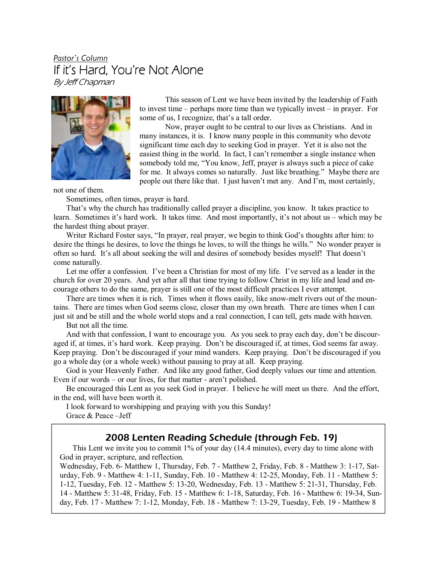#### Pastor's Column If it's Hard, You're Not Alone By Jeff Chapman



This season of Lent we have been invited by the leadership of Faith to invest time – perhaps more time than we typically invest – in prayer. For some of us, I recognize, that's a tall order.

 Now, prayer ought to be central to our lives as Christians. And in many instances, it is. I know many people in this community who devote significant time each day to seeking God in prayer. Yet it is also not the easiest thing in the world. In fact, I can't remember a single instance when somebody told me, "You know, Jeff, prayer is always such a piece of cake for me. It always comes so naturally. Just like breathing." Maybe there are people out there like that. I just haven't met any. And I'm, most certainly,

not one of them.

Sometimes, often times, prayer is hard.

 That's why the church has traditionally called prayer a discipline, you know. It takes practice to learn. Sometimes it's hard work. It takes time. And most importantly, it's not about us – which may be the hardest thing about prayer.

 Writer Richard Foster says, "In prayer, real prayer, we begin to think God's thoughts after him: to desire the things he desires, to love the things he loves, to will the things he wills." No wonder prayer is often so hard. It's all about seeking the will and desires of somebody besides myself! That doesn't come naturally.

 Let me offer a confession. I've been a Christian for most of my life. I've served as a leader in the church for over 20 years. And yet after all that time trying to follow Christ in my life and lead and encourage others to do the same, prayer is still one of the most difficult practices I ever attempt.

 There are times when it is rich. Times when it flows easily, like snow-melt rivers out of the mountains. There are times when God seems close, closer than my own breath. There are times when I can just sit and be still and the whole world stops and a real connection, I can tell, gets made with heaven.

But not all the time.

 And with that confession, I want to encourage you. As you seek to pray each day, don't be discouraged if, at times, it's hard work. Keep praying. Don't be discouraged if, at times, God seems far away. Keep praying. Don't be discouraged if your mind wanders. Keep praying. Don't be discouraged if you go a whole day (or a whole week) without pausing to pray at all. Keep praying.

 God is your Heavenly Father. And like any good father, God deeply values our time and attention. Even if our words – or our lives, for that matter - aren't polished.

 Be encouraged this Lent as you seek God in prayer. I believe he will meet us there. And the effort, in the end, will have been worth it.

 I look forward to worshipping and praying with you this Sunday! Grace & Peace –Jeff

#### 2008 Lenten Reading Schedule (through Feb. 19)

This Lent we invite you to commit 1% of your day (14.4 minutes), every day to time alone with God in prayer, scripture, and reflection.

Wednesday, Feb. 6- Matthew 1, Thursday, Feb. 7 - Matthew 2, Friday, Feb. 8 - Matthew 3: 1-17, Saturday, Feb. 9 - Matthew 4: 1-11, Sunday, Feb. 10 - Matthew 4: 12-25, Monday, Feb. 11 - Matthew 5: 1-12, Tuesday, Feb. 12 - Matthew 5: 13-20, Wednesday, Feb. 13 - Matthew 5: 21-31, Thursday, Feb. 14 - Matthew 5: 31-48, Friday, Feb. 15 - Matthew 6: 1-18, Saturday, Feb. 16 - Matthew 6: 19-34, Sunday, Feb. 17 - Matthew 7: 1-12, Monday, Feb. 18 - Matthew 7: 13-29, Tuesday, Feb. 19 - Matthew 8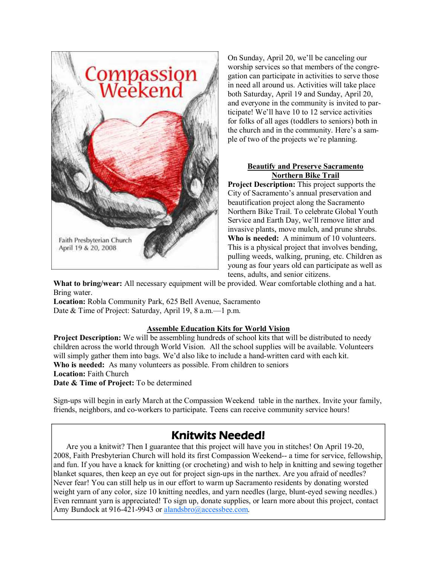

On Sunday, April 20, we'll be canceling our worship services so that members of the congregation can participate in activities to serve those in need all around us. Activities will take place both Saturday, April 19 and Sunday, April 20, and everyone in the community is invited to participate! We'll have 10 to 12 service activities for folks of all ages (toddlers to seniors) both in the church and in the community. Here's a sample of two of the projects we're planning.

#### Beautify and Preserve Sacramento **Northern Bike Trail**

Project Description: This project supports the City of Sacramento's annual preservation and beautification project along the Sacramento Northern Bike Trail. To celebrate Global Youth Service and Earth Day, we'll remove litter and invasive plants, move mulch, and prune shrubs. Who is needed: A minimum of 10 volunteers. This is a physical project that involves bending, pulling weeds, walking, pruning, etc. Children as young as four years old can participate as well as teens, adults, and senior citizens.

What to bring/wear: All necessary equipment will be provided. Wear comfortable clothing and a hat. Bring water.

Location: Robla Community Park, 625 Bell Avenue, Sacramento Date & Time of Project: Saturday, April 19, 8 a.m.—1 p.m.

#### Assemble Education Kits for World Vision

Project Description: We will be assembling hundreds of school kits that will be distributed to needy children across the world through World Vision. All the school supplies will be available. Volunteers will simply gather them into bags. We'd also like to include a hand-written card with each kit. Who is needed: As many volunteers as possible. From children to seniors Location: Faith Church Date & Time of Project: To be determined

Sign-ups will begin in early March at the Compassion Weekend table in the narthex. Invite your family, friends, neighbors, and co-workers to participate. Teens can receive community service hours!

### **Knitwits Needed!**

 Are you a knitwit? Then I guarantee that this project will have you in stitches! On April 19-20, 2008, Faith Presbyterian Church will hold its first Compassion Weekend-- a time for service, fellowship, and fun. If you have a knack for knitting (or crocheting) and wish to help in knitting and sewing together blanket squares, then keep an eye out for project sign-ups in the narthex. Are you afraid of needles? Never fear! You can still help us in our effort to warm up Sacramento residents by donating worsted weight yarn of any color, size 10 knitting needles, and yarn needles (large, blunt-eyed sewing needles.) Even remnant yarn is appreciated! To sign up, donate supplies, or learn more about this project, contact Amy Bundock at 916-421-9943 or alandsbro@accessbee.com.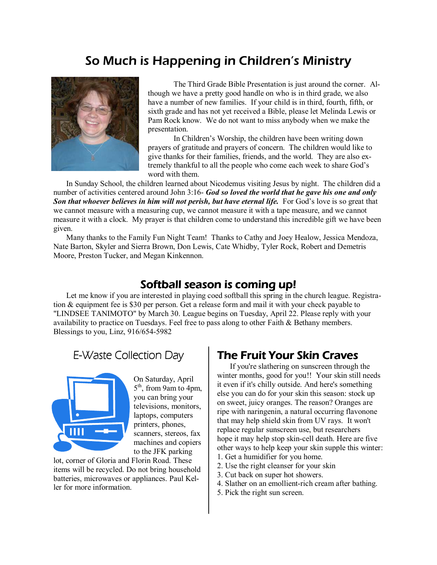## So Much is Happening in Children's Ministry



 The Third Grade Bible Presentation is just around the corner. Although we have a pretty good handle on who is in third grade, we also have a number of new families. If your child is in third, fourth, fifth, or sixth grade and has not yet received a Bible, please let Melinda Lewis or Pam Rock know. We do not want to miss anybody when we make the presentation.

 In Children's Worship, the children have been writing down prayers of gratitude and prayers of concern. The children would like to give thanks for their families, friends, and the world. They are also extremely thankful to all the people who come each week to share God's word with them.

 In Sunday School, the children learned about Nicodemus visiting Jesus by night. The children did a number of activities centered around John 3:16- God so loved the world that he gave his one and only Son that whoever believes in him will not perish, but have eternal life. For God's love is so great that we cannot measure with a measuring cup, we cannot measure it with a tape measure, and we cannot measure it with a clock. My prayer is that children come to understand this incredible gift we have been given.

 Many thanks to the Family Fun Night Team! Thanks to Cathy and Joey Healow, Jessica Mendoza, Nate Barton, Skyler and Sierra Brown, Don Lewis, Cate Whidby, Tyler Rock, Robert and Demetris Moore, Preston Tucker, and Megan Kinkennon.

#### Softball season is coming up!

Let me know if you are interested in playing coed softball this spring in the church league. Registration & equipment fee is \$30 per person. Get a release form and mail it with your check payable to "LINDSEE TANIMOTO" by March 30. League begins on Tuesday, April 22. Please reply with your availability to practice on Tuesdays. Feel free to pass along to other Faith & Bethany members. Blessings to you, Linz, 916/654-5982

### E-Waste Collection Day



On Saturday, April 5<sup>th</sup>, from 9am to 4pm, you can bring your televisions, monitors, laptops, computers printers, phones, scanners, stereos, fax machines and copiers to the JFK parking

lot, corner of Gloria and Florin Road. These items will be recycled. Do not bring household batteries, microwaves or appliances. Paul Keller for more information.

### **The Fruit Your Skin Craves**

If you're slathering on sunscreen through the winter months, good for you!! Your skin still needs it even if it's chilly outside. And here's something else you can do for your skin this season: stock up on sweet, juicy oranges. The reason? Oranges are ripe with naringenin, a natural occurring flavonone that may help shield skin from UV rays. It won't replace regular sunscreen use, but researchers hope it may help stop skin-cell death. Here are five other ways to help keep your skin supple this winter: 1. Get a humidifier for you home.

- 2. Use the right cleanser for your skin
- 3. Cut back on super hot showers.
- 4. Slather on an emollient-rich cream after bathing.
- 5. Pick the right sun screen.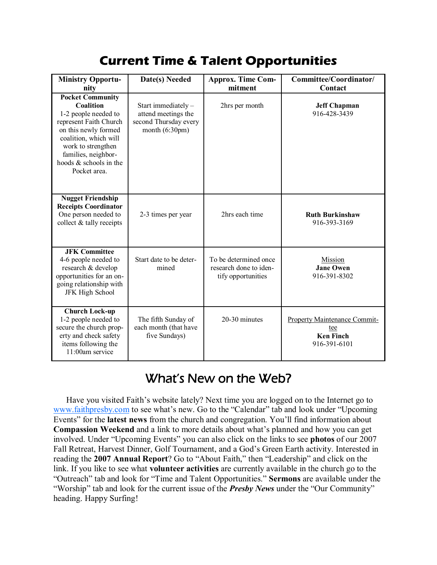## Current Time & Talent Opportunities

| <b>Ministry Opportu-</b><br>nity                                                                                                                                                                                               | Date(s) Needed                                                                                  | <b>Approx. Time Com-</b><br>mitment                                   | Committee/Coordinator/<br>Contact                                              |
|--------------------------------------------------------------------------------------------------------------------------------------------------------------------------------------------------------------------------------|-------------------------------------------------------------------------------------------------|-----------------------------------------------------------------------|--------------------------------------------------------------------------------|
| <b>Pocket Community</b><br>Coalition<br>1-2 people needed to<br>represent Faith Church<br>on this newly formed<br>coalition, which will<br>work to strengthen<br>families, neighbor-<br>hoods & schools in the<br>Pocket area. | Start immediately -<br>attend meetings the<br>second Thursday every<br>month $(6:30 \text{pm})$ | 2hrs per month                                                        | <b>Jeff Chapman</b><br>916-428-3439                                            |
| <b>Nugget Friendship</b><br><b>Receipts Coordinator</b><br>One person needed to<br>collect $&$ tally receipts                                                                                                                  | 2-3 times per year                                                                              | 2hrs each time                                                        | <b>Ruth Burkinshaw</b><br>916-393-3169                                         |
| <b>JFK Committee</b><br>4-6 people needed to<br>research & develop<br>opportunities for an on-<br>going relationship with<br>JFK High School                                                                                   | Start date to be deter-<br>mined                                                                | To be determined once<br>research done to iden-<br>tify opportunities | Mission<br><b>Jane Owen</b><br>916-391-8302                                    |
| <b>Church Lock-up</b><br>1-2 people needed to<br>secure the church prop-<br>erty and check safety<br>items following the<br>11:00am service                                                                                    | The fifth Sunday of<br>each month (that have<br>five Sundays)                                   | 20-30 minutes                                                         | <b>Property Maintenance Commit-</b><br>tee<br><b>Ken Finch</b><br>916-391-6101 |

## What's New on the Web?

Have you visited Faith's website lately? Next time you are logged on to the Internet go to www.faithpresby.com to see what's new. Go to the "Calendar" tab and look under "Upcoming Events" for the latest news from the church and congregation. You'll find information about Compassion Weekend and a link to more details about what's planned and how you can get involved. Under "Upcoming Events" you can also click on the links to see photos of our 2007 Fall Retreat, Harvest Dinner, Golf Tournament, and a God's Green Earth activity. Interested in reading the 2007 Annual Report? Go to "About Faith," then "Leadership" and click on the link. If you like to see what **volunteer activities** are currently available in the church go to the "Outreach" tab and look for "Time and Talent Opportunities." Sermons are available under the "Worship" tab and look for the current issue of the *Presby News* under the "Our Community" heading. Happy Surfing!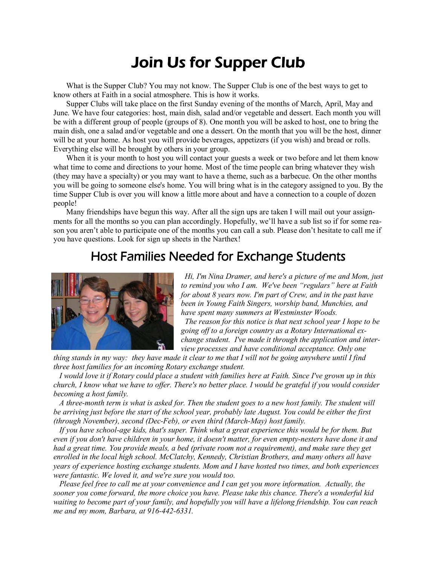# Join Us for Supper Club

What is the Supper Club? You may not know. The Supper Club is one of the best ways to get to know others at Faith in a social atmosphere. This is how it works.

 Supper Clubs will take place on the first Sunday evening of the months of March, April, May and June. We have four categories: host, main dish, salad and/or vegetable and dessert. Each month you will be with a different group of people (groups of 8). One month you will be asked to host, one to bring the main dish, one a salad and/or vegetable and one a dessert. On the month that you will be the host, dinner will be at your home. As host you will provide beverages, appetizers (if you wish) and bread or rolls. Everything else will be brought by others in your group.

When it is your month to host you will contact your guests a week or two before and let them know what time to come and directions to your home. Most of the time people can bring whatever they wish (they may have a specialty) or you may want to have a theme, such as a barbecue. On the other months you will be going to someone else's home. You will bring what is in the category assigned to you. By the time Supper Club is over you will know a little more about and have a connection to a couple of dozen people!

 Many friendships have begun this way. After all the sign ups are taken I will mail out your assignments for all the months so you can plan accordingly. Hopefully, we'll have a sub list so if for some reason you aren't able to participate one of the months you can call a sub. Please don't hesitate to call me if you have questions. Look for sign up sheets in the Narthex!

## Host Families Needed for Exchange Students



Hi, I'm Nina Dramer, and here's a picture of me and Mom, just to remind you who I am. We've been "regulars" here at Faith for about 8 years now. I'm part of Crew, and in the past have been in Young Faith Singers, worship band, Munchies, and have spent many summers at Westminster Woods.

 The reason for this notice is that next school year I hope to be going off to a foreign country as a Rotary International exchange student. I've made it through the application and interview processes and have conditional acceptance. Only one

thing stands in my way: they have made it clear to me that I will not be going anywhere until I find three host families for an incoming Rotary exchange student.

 I would love it if Rotary could place a student with families here at Faith. Since I've grown up in this church, I know what we have to offer. There's no better place. I would be grateful if you would consider becoming a host family.

 A three-month term is what is asked for. Then the student goes to a new host family. The student will be arriving just before the start of the school year, probably late August. You could be either the first (through November), second (Dec-Feb), or even third (March-May) host family.

 If you have school-age kids, that's super. Think what a great experience this would be for them. But even if you don't have children in your home, it doesn't matter, for even empty-nesters have done it and had a great time. You provide meals, a bed (private room not a requirement), and make sure they get enrolled in the local high school. McClatchy, Kennedy, Christian Brothers, and many others all have years of experience hosting exchange students. Mom and I have hosted two times, and both experiences were fantastic. We loved it, and we're sure you would too.

 Please feel free to call me at your convenience and I can get you more information. Actually, the sooner you come forward, the more choice you have. Please take this chance. There's a wonderful kid waiting to become part of your family, and hopefully you will have a lifelong friendship. You can reach me and my mom, Barbara, at 916-442-6331.